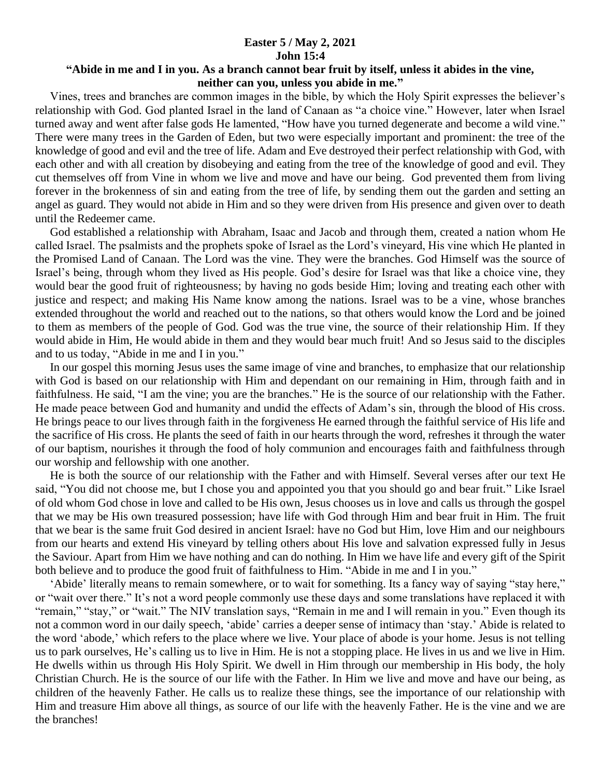## **Easter 5 / May 2, 2021 John 15:4**

## **"Abide in me and I in you. As a branch cannot bear fruit by itself, unless it abides in the vine, neither can you, unless you abide in me."**

 Vines, trees and branches are common images in the bible, by which the Holy Spirit expresses the believer's relationship with God. God planted Israel in the land of Canaan as "a choice vine." However, later when Israel turned away and went after false gods He lamented, "How have you turned degenerate and become a wild vine." There were many trees in the Garden of Eden, but two were especially important and prominent: the tree of the knowledge of good and evil and the tree of life. Adam and Eve destroyed their perfect relationship with God, with each other and with all creation by disobeying and eating from the tree of the knowledge of good and evil. They cut themselves off from Vine in whom we live and move and have our being. God prevented them from living forever in the brokenness of sin and eating from the tree of life, by sending them out the garden and setting an angel as guard. They would not abide in Him and so they were driven from His presence and given over to death until the Redeemer came.

 God established a relationship with Abraham, Isaac and Jacob and through them, created a nation whom He called Israel. The psalmists and the prophets spoke of Israel as the Lord's vineyard, His vine which He planted in the Promised Land of Canaan. The Lord was the vine. They were the branches. God Himself was the source of Israel's being, through whom they lived as His people. God's desire for Israel was that like a choice vine, they would bear the good fruit of righteousness; by having no gods beside Him; loving and treating each other with justice and respect; and making His Name know among the nations. Israel was to be a vine, whose branches extended throughout the world and reached out to the nations, so that others would know the Lord and be joined to them as members of the people of God. God was the true vine, the source of their relationship Him. If they would abide in Him, He would abide in them and they would bear much fruit! And so Jesus said to the disciples and to us today, "Abide in me and I in you."

 In our gospel this morning Jesus uses the same image of vine and branches, to emphasize that our relationship with God is based on our relationship with Him and dependant on our remaining in Him, through faith and in faithfulness. He said, "I am the vine; you are the branches." He is the source of our relationship with the Father. He made peace between God and humanity and undid the effects of Adam's sin, through the blood of His cross. He brings peace to our lives through faith in the forgiveness He earned through the faithful service of His life and the sacrifice of His cross. He plants the seed of faith in our hearts through the word, refreshes it through the water of our baptism, nourishes it through the food of holy communion and encourages faith and faithfulness through our worship and fellowship with one another.

 He is both the source of our relationship with the Father and with Himself. Several verses after our text He said, "You did not choose me, but I chose you and appointed you that you should go and bear fruit." Like Israel of old whom God chose in love and called to be His own, Jesus chooses us in love and calls us through the gospel that we may be His own treasured possession; have life with God through Him and bear fruit in Him. The fruit that we bear is the same fruit God desired in ancient Israel: have no God but Him, love Him and our neighbours from our hearts and extend His vineyard by telling others about His love and salvation expressed fully in Jesus the Saviour. Apart from Him we have nothing and can do nothing. In Him we have life and every gift of the Spirit both believe and to produce the good fruit of faithfulness to Him. "Abide in me and I in you."

 'Abide' literally means to remain somewhere, or to wait for something. Its a fancy way of saying "stay here," or "wait over there." It's not a word people commonly use these days and some translations have replaced it with "remain," "stay," or "wait." The NIV translation says, "Remain in me and I will remain in you." Even though its not a common word in our daily speech, 'abide' carries a deeper sense of intimacy than 'stay.' Abide is related to the word 'abode,' which refers to the place where we live. Your place of abode is your home. Jesus is not telling us to park ourselves, He's calling us to live in Him. He is not a stopping place. He lives in us and we live in Him. He dwells within us through His Holy Spirit. We dwell in Him through our membership in His body, the holy Christian Church. He is the source of our life with the Father. In Him we live and move and have our being, as children of the heavenly Father. He calls us to realize these things, see the importance of our relationship with Him and treasure Him above all things, as source of our life with the heavenly Father. He is the vine and we are the branches!